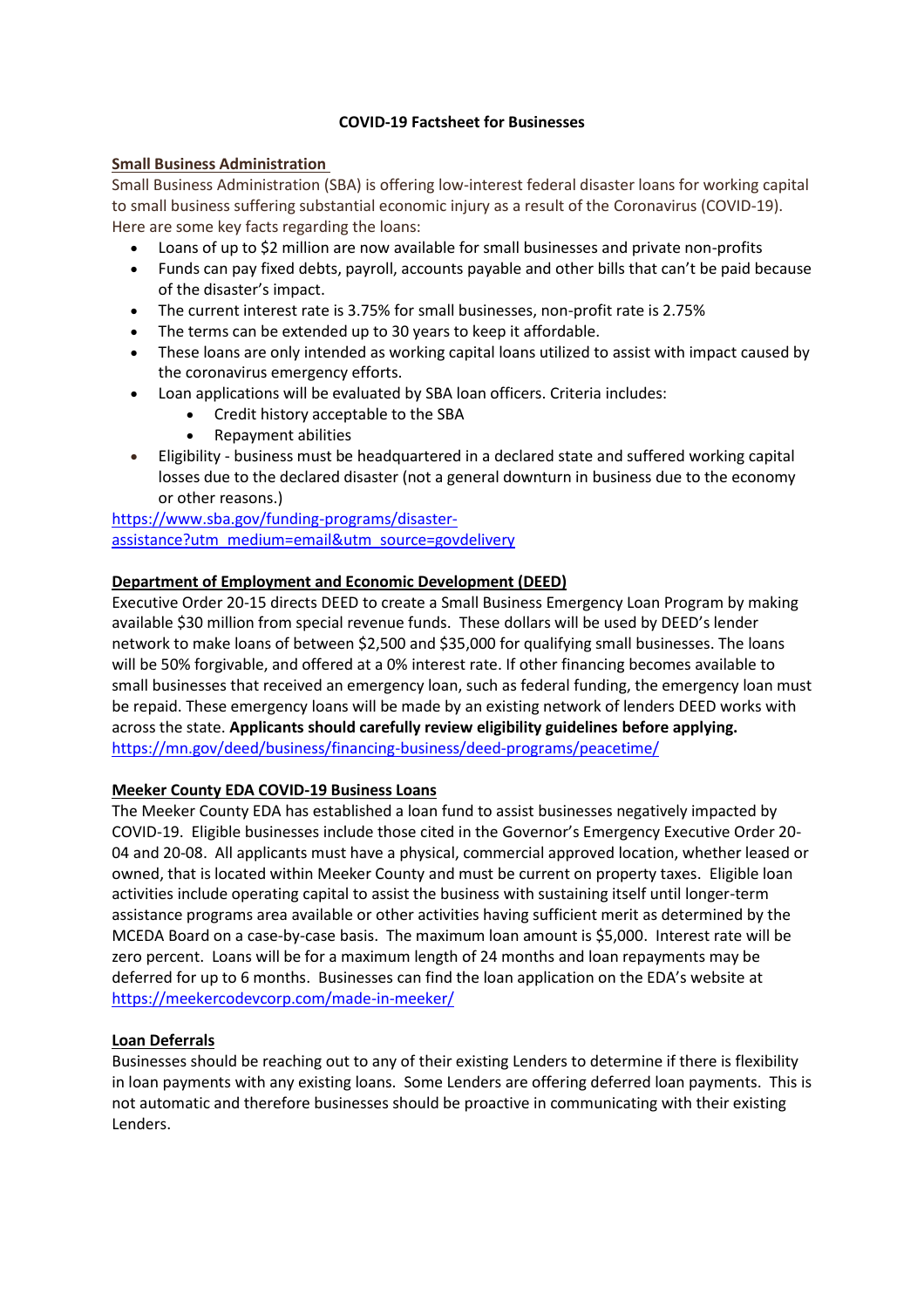### **COVID-19 Factsheet for Businesses**

#### **Small Business Administration**

Small Business Administration (SBA) is offering low-interest federal disaster loans for working capital to small business suffering substantial economic injury as a result of the Coronavirus (COVID-19). Here are some key facts regarding the loans:

- Loans of up to \$2 million are now available for small businesses and private non-profits
- Funds can pay fixed debts, payroll, accounts payable and other bills that can't be paid because of the disaster's impact.
- The current interest rate is 3.75% for small businesses, non-profit rate is 2.75%
- The terms can be extended up to 30 years to keep it affordable.
- These loans are only intended as working capital loans utilized to assist with impact caused by the coronavirus emergency efforts.
- Loan applications will be evaluated by SBA loan officers. Criteria includes:
	- Credit history acceptable to the SBA
	- Repayment abilities
- Eligibility business must be headquartered in a declared state and suffered working capital losses due to the declared disaster (not a general downturn in business due to the economy or other reasons.)

[https://www.sba.gov/funding-programs/disaster](https://www.sba.gov/funding-programs/disaster-assistance?utm_medium=email&utm_source=govdelivery)[assistance?utm\\_medium=email&utm\\_source=govdelivery](https://www.sba.gov/funding-programs/disaster-assistance?utm_medium=email&utm_source=govdelivery)

# **Department of Employment and Economic Development (DEED)**

Executive Order 20-15 directs DEED to create a Small Business Emergency Loan Program by making available \$30 million from special revenue funds. These dollars will be used by DEED's lender network to make loans of between \$2,500 and \$35,000 for qualifying small businesses. The loans will be 50% forgivable, and offered at a 0% interest rate. If other financing becomes available to small businesses that received an emergency loan, such as federal funding, the emergency loan must be repaid. These emergency loans will be made by an existing network of lenders DEED works with across the state. **Applicants should carefully review eligibility guidelines before applying.**  <https://mn.gov/deed/business/financing-business/deed-programs/peacetime/>

# **Meeker County EDA COVID-19 Business Loans**

The Meeker County EDA has established a loan fund to assist businesses negatively impacted by COVID-19. Eligible businesses include those cited in the Governor's Emergency Executive Order 20- 04 and 20-08. All applicants must have a physical, commercial approved location, whether leased or owned, that is located within Meeker County and must be current on property taxes. Eligible loan activities include operating capital to assist the business with sustaining itself until longer-term assistance programs area available or other activities having sufficient merit as determined by the MCEDA Board on a case-by-case basis. The maximum loan amount is \$5,000. Interest rate will be zero percent. Loans will be for a maximum length of 24 months and loan repayments may be deferred for up to 6 months. Businesses can find the loan application on the EDA's website at <https://meekercodevcorp.com/made-in-meeker/>

# **Loan Deferrals**

Businesses should be reaching out to any of their existing Lenders to determine if there is flexibility in loan payments with any existing loans. Some Lenders are offering deferred loan payments. This is not automatic and therefore businesses should be proactive in communicating with their existing Lenders.